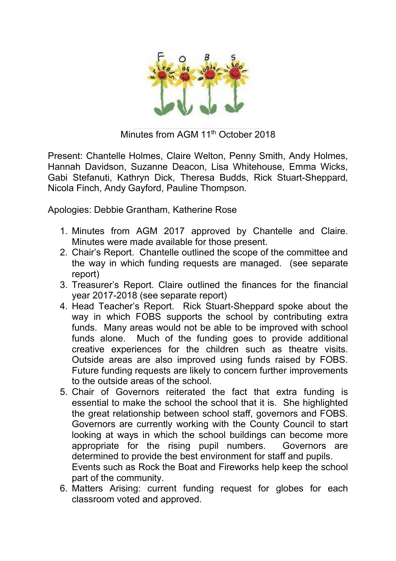

Minutes from AGM 11<sup>th</sup> October 2018

Present: Chantelle Holmes, Claire Welton, Penny Smith, Andy Holmes, Hannah Davidson, Suzanne Deacon, Lisa Whitehouse, Emma Wicks, Gabi Stefanuti, Kathryn Dick, Theresa Budds, Rick Stuart-Sheppard, Nicola Finch, Andy Gayford, Pauline Thompson.

Apologies: Debbie Grantham, Katherine Rose

- 1. Minutes from AGM 2017 approved by Chantelle and Claire. Minutes were made available for those present.
- 2. Chair's Report. Chantelle outlined the scope of the committee and the way in which funding requests are managed. (see separate report)
- 3. Treasurer's Report. Claire outlined the finances for the financial year 2017-2018 (see separate report)
- 4. Head Teacher's Report. Rick Stuart-Sheppard spoke about the way in which FOBS supports the school by contributing extra funds. Many areas would not be able to be improved with school funds alone. Much of the funding goes to provide additional creative experiences for the children such as theatre visits. Outside areas are also improved using funds raised by FOBS. Future funding requests are likely to concern further improvements to the outside areas of the school.
- 5. Chair of Governors reiterated the fact that extra funding is essential to make the school the school that it is. She highlighted the great relationship between school staff, governors and FOBS. Governors are currently working with the County Council to start looking at ways in which the school buildings can become more appropriate for the rising pupil numbers. Governors are determined to provide the best environment for staff and pupils. Events such as Rock the Boat and Fireworks help keep the school part of the community.
- 6. Matters Arising: current funding request for globes for each classroom voted and approved.